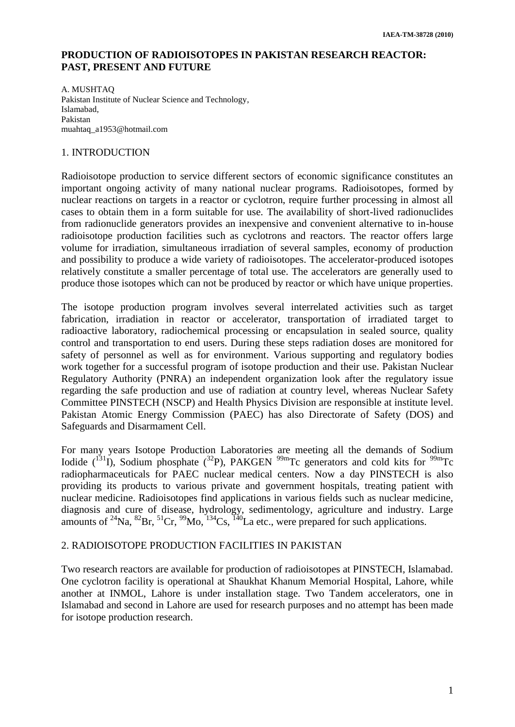## **PRODUCTION OF RADIOISOTOPES IN PAKISTAN RESEARCH REACTOR: PAST, PRESENT AND FUTURE**

A. MUSHTAQ Pakistan Institute of Nuclear Science and Technology, Islamabad, Pakistan muahtaq\_a1953@hotmail.com

## 1. INTRODUCTION

Radioisotope production to service different sectors of economic significance constitutes an important ongoing activity of many national nuclear programs. Radioisotopes, formed by nuclear reactions on targets in a reactor or cyclotron, require further processing in almost all cases to obtain them in a form suitable for use. The availability of short-lived radionuclides from radionuclide generators provides an inexpensive and convenient alternative to in-house radioisotope production facilities such as cyclotrons and reactors. The reactor offers large volume for irradiation, simultaneous irradiation of several samples, economy of production and possibility to produce a wide variety of radioisotopes. The accelerator-produced isotopes relatively constitute a smaller percentage of total use. The accelerators are generally used to produce those isotopes which can not be produced by reactor or which have unique properties.

The isotope production program involves several interrelated activities such as target fabrication, irradiation in reactor or accelerator, transportation of irradiated target to radioactive laboratory, radiochemical processing or encapsulation in sealed source, quality control and transportation to end users. During these steps radiation doses are monitored for safety of personnel as well as for environment. Various supporting and regulatory bodies work together for a successful program of isotope production and their use. Pakistan Nuclear Regulatory Authority (PNRA) an independent organization look after the regulatory issue regarding the safe production and use of radiation at country level, whereas Nuclear Safety Committee PINSTECH (NSCP) and Health Physics Division are responsible at institute level. Pakistan Atomic Energy Commission (PAEC) has also Directorate of Safety (DOS) and Safeguards and Disarmament Cell.

For many years Isotope Production Laboratories are meeting all the demands of Sodium Iodide  $({}^{131}I)$ , Sodium phosphate  $({}^{32}P)$ , PAKGEN  $^{99m}Te$  generators and cold kits for  $^{99m}Te$ radiopharmaceuticals for PAEC nuclear medical centers. Now a day PINSTECH is also providing its products to various private and government hospitals, treating patient with nuclear medicine. Radioisotopes find applications in various fields such as nuclear medicine, diagnosis and cure of disease, hydrology, sedimentology, agriculture and industry. Large amounts of <sup>24</sup>Na, <sup>82</sup>Br, <sup>51</sup>Cr, <sup>99</sup>Mo, <sup>134</sup>Cs, <sup>140</sup>La etc., were prepared for such applications.

## 2. RADIOISOTOPE PRODUCTION FACILITIES IN PAKISTAN

Two research reactors are available for production of radioisotopes at PINSTECH, Islamabad. One cyclotron facility is operational at Shaukhat Khanum Memorial Hospital, Lahore, while another at INMOL, Lahore is under installation stage. Two Tandem accelerators, one in Islamabad and second in Lahore are used for research purposes and no attempt has been made for isotope production research.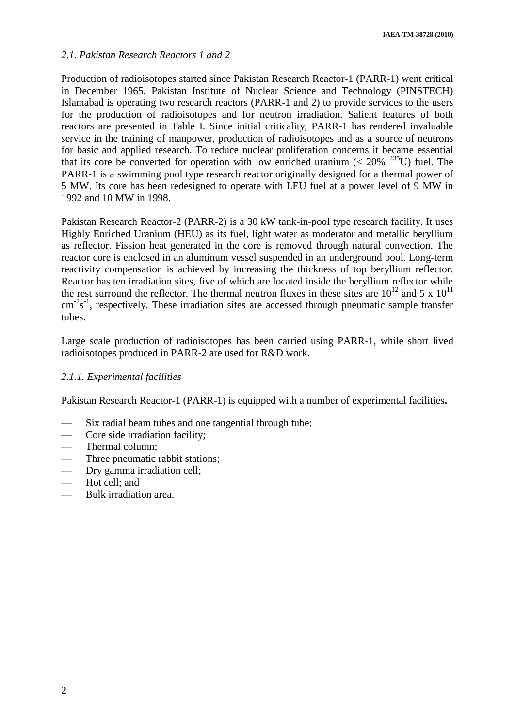## *2.1. Pakistan Research Reactors 1 and 2*

Production of radioisotopes started since Pakistan Research Reactor-1 (PARR-1) went critical in December 1965. Pakistan Institute of Nuclear Science and Technology (PINSTECH) Islamabad is operating two research reactors (PARR-1 and 2) to provide services to the users for the production of radioisotopes and for neutron irradiation. Salient features of both reactors are presented in Table I. Since initial criticality, PARR-1 has rendered invaluable service in the training of manpower, production of radioisotopes and as a source of neutrons for basic and applied research. To reduce nuclear proliferation concerns it became essential that its core be converted for operation with low enriched uranium ( $< 20\%$ <sup>235</sup>U) fuel. The PARR-1 is a swimming pool type research reactor originally designed for a thermal power of 5 MW. Its core has been redesigned to operate with LEU fuel at a power level of 9 MW in 1992 and 10 MW in 1998.

Pakistan Research Reactor-2 (PARR-2) is a 30 kW tank-in-pool type research facility. It uses Highly Enriched Uranium (HEU) as its fuel, light water as moderator and metallic beryllium as reflector. Fission heat generated in the core is removed through natural convection. The reactor core is enclosed in an aluminum vessel suspended in an underground pool. Long-term reactivity compensation is achieved by increasing the thickness of top beryllium reflector. Reactor has ten irradiation sites, five of which are located inside the beryllium reflector while the rest surround the reflector. The thermal neutron fluxes in these sites are  $10^{12}$  and 5 x  $10^{11}$  $\text{cm}^{-2}\text{s}^{-1}$ , respectively. These irradiation sites are accessed through pneumatic sample transfer tubes.

Large scale production of radioisotopes has been carried using PARR-1, while short lived radioisotopes produced in PARR-2 are used for R&D work.

## *2.1.1. Experimental facilities*

Pakistan Research Reactor-1 (PARR-1) is equipped with a number of experimental facilities**.**

- Six radial beam tubes and one tangential through tube;
- Core side irradiation facility;
- Thermal column:
- Three pneumatic rabbit stations;
- Dry gamma irradiation cell;
- Hot cell; and
- Bulk irradiation area.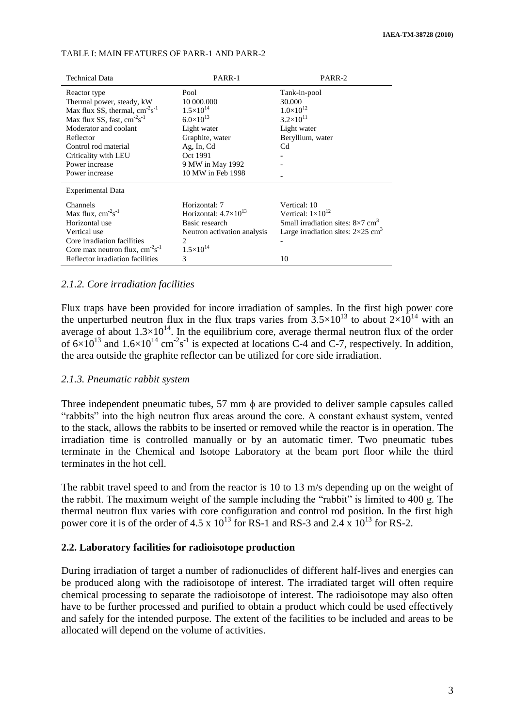| <b>Technical Data</b>                               | PARR-1                         | PARR-2                                                 |
|-----------------------------------------------------|--------------------------------|--------------------------------------------------------|
| Reactor type                                        | Pool                           | Tank-in-pool                                           |
| Thermal power, steady, kW                           | 10 000,000                     | 30.000                                                 |
| Max flux SS, thermal, $cm^{-2}s^{-1}$               | $1.5 \times 10^{14}$           | $1.0\times10^{12}$                                     |
| Max flux SS, fast, cm <sup>-2</sup> s <sup>-1</sup> | $6.0\times10^{13}$             | $3.2 \times 10^{11}$                                   |
| Moderator and coolant                               | Light water                    | Light water                                            |
| Reflector                                           | Graphite, water                | Beryllium, water                                       |
| Control rod material                                | Ag, In, Cd                     | C <sub>d</sub>                                         |
| Criticality with LEU                                | Oct 1991                       |                                                        |
| Power increase                                      | 9 MW in May 1992               |                                                        |
| Power increase                                      | 10 MW in Feb 1998              |                                                        |
| Experimental Data                                   |                                |                                                        |
| Channels                                            | Horizontal: 7                  | Vertical: 10                                           |
| Max flux, $cm-2s-1$                                 | Horizontal: $4.7\times10^{13}$ | Vertical: $1\times10^{12}$                             |
| Horizontal use                                      | Basic research                 | Small irradiation sites: $8\times7$ cm <sup>3</sup>    |
| Vertical use                                        | Neutron activation analysis    | Large irradiation sites: $2 \times 25$ cm <sup>3</sup> |
| Core irradiation facilities                         | 2                              |                                                        |
| Core max neutron flux, $cm^{-2}s^{-1}$              | $1.5\times10^{14}$             |                                                        |
| Reflector irradiation facilities                    | 3                              | 10                                                     |

#### TABLE I: MAIN FEATURES OF PARR-1 AND PARR-2

#### *2.1.2. Core irradiation facilities*

Flux traps have been provided for incore irradiation of samples. In the first high power core the unperturbed neutron flux in the flux traps varies from  $3.5 \times 10^{13}$  to about  $2 \times 10^{14}$  with an average of about  $1.3\times10^{14}$ . In the equilibrium core, average thermal neutron flux of the order of  $6\times10^{13}$  and  $1.6\times10^{14}$  cm<sup>-2</sup>s<sup>-1</sup> is expected at locations C-4 and C-7, respectively. In addition, the area outside the graphite reflector can be utilized for core side irradiation.

#### *2.1.3. Pneumatic rabbit system*

Three independent pneumatic tubes,  $57 \text{ mm}$   $\phi$  are provided to deliver sample capsules called "rabbits" into the high neutron flux areas around the core. A constant exhaust system, vented to the stack, allows the rabbits to be inserted or removed while the reactor is in operation. The irradiation time is controlled manually or by an automatic timer. Two pneumatic tubes terminate in the Chemical and Isotope Laboratory at the beam port floor while the third terminates in the hot cell.

The rabbit travel speed to and from the reactor is 10 to 13 m/s depending up on the weight of the rabbit. The maximum weight of the sample including the "rabbit" is limited to 400 g. The thermal neutron flux varies with core configuration and control rod position. In the first high power core it is of the order of 4.5 x  $10^{13}$  for RS-1 and RS-3 and 2.4 x  $10^{13}$  for RS-2.

#### **2.2. Laboratory facilities for radioisotope production**

During irradiation of target a number of radionuclides of different half-lives and energies can be produced along with the radioisotope of interest. The irradiated target will often require chemical processing to separate the radioisotope of interest. The radioisotope may also often have to be further processed and purified to obtain a product which could be used effectively and safely for the intended purpose. The extent of the facilities to be included and areas to be allocated will depend on the volume of activities.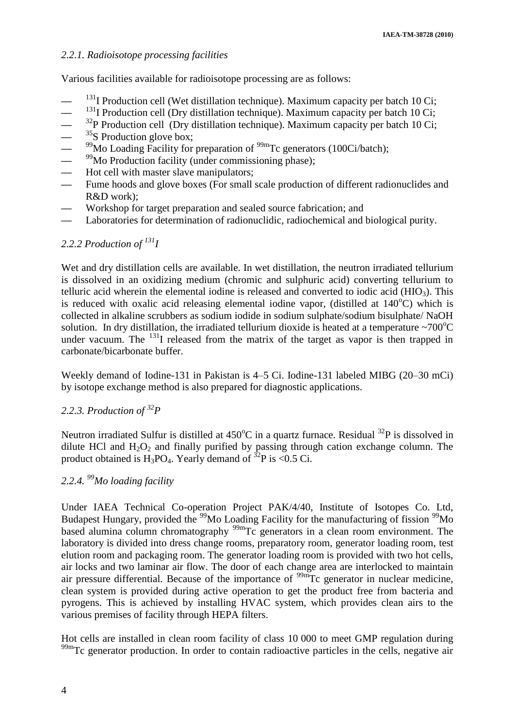## *2.2.1. Radioisotope processing facilities*

Various facilities available for radioisotope processing are as follows:

- <sup>131</sup>I Production cell (Wet distillation technique). Maximum capacity per batch 10 Ci;
- <sup>131</sup>I Production cell (Dry distillation technique). Maximum capacity per batch 10 Ci;
- **—** <sup>32</sup>P Production cell (Dry distillation technique). Maximum capacity per batch 10 Ci;
- 
- <sup>35</sup>S Production glove box;<br>
<sup>99</sup>Mo Loading Facility for<br>
<sup>99</sup>Mo Production facility (u <sup>99</sup>Mo Loading Facility for preparation of <sup>99m</sup>Tc generators (100Ci/batch);
- <sup>99</sup>Mo Production facility (under commissioning phase);
- **—** Hot cell with master slave manipulators;
- Fume hoods and glove boxes (For small scale production of different radionuclides and R&D work);
- **—** Workshop for target preparation and sealed source fabrication; and
- **—** Laboratories for determination of radionuclidic, radiochemical and biological purity.

## 2.2.2 *Production of*  $^{131}I$

Wet and dry distillation cells are available. In wet distillation, the neutron irradiated tellurium is dissolved in an oxidizing medium (chromic and sulphuric acid) converting tellurium to telluric acid wherein the elemental iodine is released and converted to iodic acid  $(HIO<sub>3</sub>)$ . This is reduced with oxalic acid releasing elemental iodine vapor, (distilled at  $140^{\circ}$ C) which is collected in alkaline scrubbers as sodium iodide in sodium sulphate/sodium bisulphate/ NaOH solution. In dry distillation, the irradiated tellurium dioxide is heated at a temperature  $\sim700^{\circ}$ C under vacuum. The  $^{131}$ I released from the matrix of the target as vapor is then trapped in carbonate/bicarbonate buffer.

Weekly demand of Iodine-131 in Pakistan is 4–5 Ci. Iodine-131 labeled MIBG (20–30 mCi) by isotope exchange method is also prepared for diagnostic applications.

## *2.2.3. Production of <sup>32</sup>P*

Neutron irradiated Sulfur is distilled at  $450^{\circ}$ C in a quartz furnace. Residual  $^{32}P$  is dissolved in dilute HCl and  $H_2O_2$  and finally purified by passing through cation exchange column. The product obtained is H<sub>3</sub>PO<sub>4</sub>. Yearly demand of <sup>32</sup>P is <0.5 Ci.

## *2.2.4. <sup>99</sup>Mo loading facility*

Under IAEA Technical Co-operation Project PAK/4/40, Institute of Isotopes Co. Ltd, Budapest Hungary, provided the <sup>99</sup>Mo Loading Facility for the manufacturing of fission <sup>99</sup>Mo based alumina column chromatography  $\frac{99 \text{m}}{\text{C}}$  generators in a clean room environment. The laboratory is divided into dress change rooms, preparatory room, generator loading room, test elution room and packaging room. The generator loading room is provided with two hot cells, air locks and two laminar air flow. The door of each change area are interlocked to maintain air pressure differential. Because of the importance of  $\frac{99m}{\text{C}}$  generator in nuclear medicine, clean system is provided during active operation to get the product free from bacteria and pyrogens. This is achieved by installing HVAC system, which provides clean airs to the various premises of facility through HEPA filters.

Hot cells are installed in clean room facility of class 10 000 to meet GMP regulation during <sup>99m</sup>Tc generator production. In order to contain radioactive particles in the cells, negative air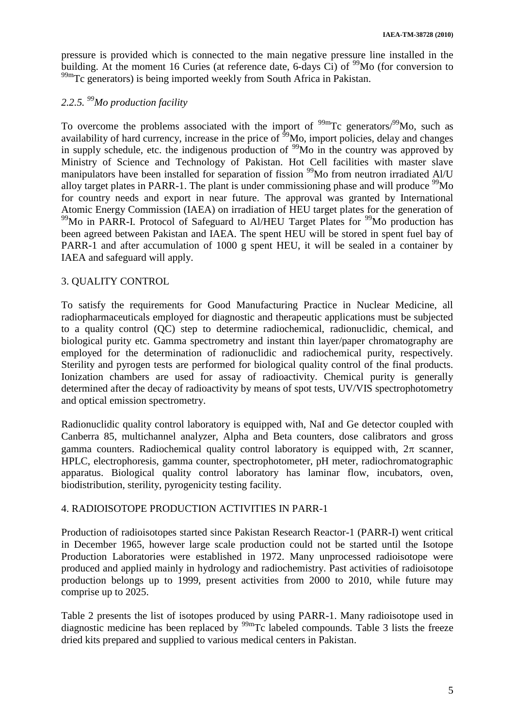pressure is provided which is connected to the main negative pressure line installed in the building. At the moment 16 Curies (at reference date, 6-days Ci) of  $\frac{99}{100}$  (for conversion to  $99<sup>99m</sup>$ Tc generators) is being imported weekly from South Africa in Pakistan.

# *2.2.5. <sup>99</sup>Mo production facility*

To overcome the problems associated with the import of  $\frac{99 \text{m}}{2}$ Tc generators/ $\frac{99}{3}$ Mo, such as availability of hard currency, increase in the price of  $\frac{6}{9}$ Mo, import policies, delay and changes in supply schedule, etc. the indigenous production of  $\frac{99}{9}$ Mo in the country was approved by Ministry of Science and Technology of Pakistan. Hot Cell facilities with master slave manipulators have been installed for separation of fission <sup>99</sup>Mo from neutron irradiated Al/U alloy target plates in PARR-1. The plant is under commissioning phase and will produce  $\rm^{99}Mo$ for country needs and export in near future. The approval was granted by International Atomic Energy Commission (IAEA) on irradiation of HEU target plates for the generation of  $99$ Mo in PARR-I. Protocol of Safeguard to Al/HEU Target Plates for  $99$ Mo production has been agreed between Pakistan and IAEA. The spent HEU will be stored in spent fuel bay of PARR-1 and after accumulation of 1000 g spent HEU, it will be sealed in a container by IAEA and safeguard will apply.

## 3. QUALITY CONTROL

To satisfy the requirements for Good Manufacturing Practice in Nuclear Medicine, all radiopharmaceuticals employed for diagnostic and therapeutic applications must be subjected to a quality control (QC) step to determine radiochemical, radionuclidic, chemical, and biological purity etc. Gamma spectrometry and instant thin layer/paper chromatography are employed for the determination of radionuclidic and radiochemical purity, respectively. Sterility and pyrogen tests are performed for biological quality control of the final products. Ionization chambers are used for assay of radioactivity. Chemical purity is generally determined after the decay of radioactivity by means of spot tests, UV/VIS spectrophotometry and optical emission spectrometry.

Radionuclidic quality control laboratory is equipped with, NaI and Ge detector coupled with Canberra 85, multichannel analyzer, Alpha and Beta counters, dose calibrators and gross gamma counters. Radiochemical quality control laboratory is equipped with,  $2\pi$  scanner, HPLC, electrophoresis, gamma counter, spectrophotometer, pH meter, radiochromatographic apparatus. Biological quality control laboratory has laminar flow, incubators, oven, biodistribution, sterility, pyrogenicity testing facility.

## 4. RADIOISOTOPE PRODUCTION ACTIVITIES IN PARR-1

Production of radioisotopes started since Pakistan Research Reactor-1 (PARR-I) went critical in December 1965, however large scale production could not be started until the Isotope Production Laboratories were established in 1972. Many unprocessed radioisotope were produced and applied mainly in hydrology and radiochemistry. Past activities of radioisotope production belongs up to 1999, present activities from 2000 to 2010, while future may comprise up to 2025.

Table 2 presents the list of isotopes produced by using PARR-1. Many radioisotope used in diagnostic medicine has been replaced by <sup>99m</sup>Tc labeled compounds. Table 3 lists the freeze dried kits prepared and supplied to various medical centers in Pakistan.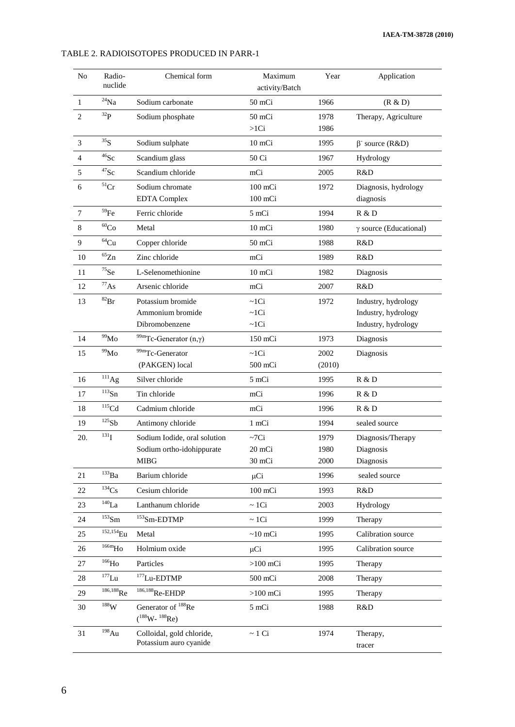#### No Radionuclide Chemical form Maximum activity/Batch Year **Application** 1  $\frac{24}{12}$ Na Sodium carbonate 50 mCi 1966 (R & D) 2  $32P$  Sodium phosphate 50 mCi >1Ci 1978 1986 Therapy, Agriculture 3  $\frac{35}{35}$  Sodium sulphate 10 mCi 1995 source (R&D) 4 <sup>46</sup>Sc Scandium glass 50 Ci 1967 Hydrology 5 <sup>47</sup>Sc Scandium chloride mCi 2005 R&D 6  $\overline{\text{51}_{\text{Cr}}}$  Sodium chromate EDTA Complex 100 mCi 100 mCi 1972 Diagnosis, hydrology diagnosis 7 <sup>59</sup>Fe Ferric chloride 5 mCi 1994 R & D 8  $^{60}Co$  Metal 10 mCi 1980  $\gamma$  source (Educational) 9 <sup>64</sup>Cu Copper chloride 50 mCi 1988 R&D 10 <sup>65</sup>Zn Zinc chloride mCi 1989 R&D 11 <sup>75</sup>Se L-Selenomethionine 10 mCi 1982 Diagnosis 12 <sup>77</sup>As Arsenic chloride mCi 2007 R&D 13 <sup>82</sup>Br Potassium bromide Ammonium bromide Dibromobenzene  $\sim 1$ Ci  $\sim$ 1Ci  $\sim$ 1Ci 1972 Industry, hydrology Industry, hydrology Industry, hydrology 14  $^{99}$ Mo  $^{99m}$ Tc-Generator (n,γ) 150 mCi 1973 Diagnosis 15 <sup>99</sup>Mo 99mTc-Generator (PAKGEN) local ~1Ci 500 mCi 2002 (2010) Diagnosis 16 <sup>111</sup>Ag Silver chloride 5 mCi 1995 R & D 17 <sup>113</sup>Sn Tin chloride mCi 1996 R & D 18 <sup>115</sup>Cd Cadmium chloride mCi 1996 R & D 19 <sup>125</sup>Sb Antimony chloride 1 mCi 1994 sealed source 20.  $131$  Sodium Iodide, oral solution Sodium ortho-idohippurate MIBG  $\sim 7$ Ci 20 mCi 30 mCi 1979 1980 2000 Diagnosis/Therapy Diagnosis Diagnosis 21 <sup>133</sup>Ba Barium chloride  $\mu$ Ci 1996 sealed source 22 <sup>134</sup>Cs Cesium chloride 100 mCi 1993 R&D 23 <sup>140</sup>La Lanthanum chloride ~ 1Ci 2003 Hydrology  $24$   $153$ Sm  $153$ Sm-EDTMP ~ 1Ci 1999 Therapy  $25$   $^{152,154}$ Eu Metal  $\sim$ 10 mCi 1995 Calibration source 26 <sup>166m</sup>Ho Holmium oxide <br>  $\mu$ Ci 1995 Calibration source 27 <sup>166</sup>Ho Particles >100 mCi 1995 Therapy  $28$   $177$ Lu  $177$ Lu-EDTMP 500 mCi 2008 Therapy  $29$   $186,188$ Re  $186,188$ Re-EHDP >100 mCi 1995 Therapy 30 <sup>188</sup>W Generator of <sup>188</sup>Re  $(^{188}W - {^{188}Re})$ 5 mCi 1988 R&D 31 <sup>198</sup>Au Colloidal, gold chloride, Potassium auro cyanide  $\sim 1$  Ci 1974 Therapy, tracer

#### TABLE 2. RADIOISOTOPES PRODUCED IN PARR-1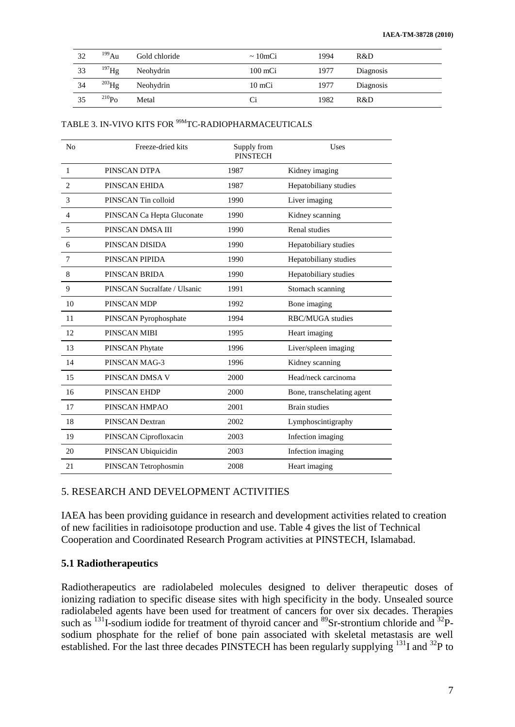| 32  | $^{199}$ Au | Gold chloride | $\sim 10$ mCi     | 1994 | R&D       |
|-----|-------------|---------------|-------------------|------|-----------|
| 33  | $^{197}$ Hg | Neohydrin     | $100 \text{ mCi}$ | 1977 | Diagnosis |
| -34 | $^{203}$ Hg | Neohydrin     | 10 mCi            | 1977 | Diagnosis |
| 35  | $^{210}Po$  | Metal         | Ci                | 1982 | R&D       |

#### TABLE 3. IN-VIVO KITS FOR <sup>99M</sup>TC-RADIOPHARMACEUTICALS

| N <sub>o</sub> | Freeze-dried kits            | Supply from<br><b>PINSTECH</b> | Uses                       |
|----------------|------------------------------|--------------------------------|----------------------------|
| $\mathbf{1}$   | PINSCAN DTPA                 | 1987                           | Kidney imaging             |
| $\overline{2}$ | PINSCAN EHIDA                | 1987                           | Hepatobiliany studies      |
| 3              | PINSCAN Tin colloid          | 1990                           | Liver imaging              |
| 4              | PINSCAN Ca Hepta Gluconate   | 1990                           | Kidney scanning            |
| 5              | PINSCAN DMSA III             | 1990                           | Renal studies              |
| 6              | PINSCAN DISIDA               | 1990                           | Hepatobiliary studies      |
| 7              | PINSCAN PIPIDA               | 1990                           | Hepatobiliany studies      |
| 8              | PINSCAN BRIDA                | 1990                           | Hepatobiliary studies      |
| 9              | PINSCAN Sucralfate / Ulsanic | 1991                           | Stomach scanning           |
| 10             | PINSCAN MDP                  | 1992                           | Bone imaging               |
| 11             | PINSCAN Pyrophosphate        | 1994                           | RBC/MUGA studies           |
| 12             | PINSCAN MIBI                 | 1995                           | Heart imaging              |
| 13             | PINSCAN Phytate              | 1996                           | Liver/spleen imaging       |
| 14             | PINSCAN MAG-3                | 1996                           | Kidney scanning            |
| 15             | PINSCAN DMSA V               | 2000                           | Head/neck carcinoma        |
| 16             | PINSCAN EHDP                 | 2000                           | Bone, transchelating agent |
| 17             | PINSCAN HMPAO                | 2001                           | <b>Brain studies</b>       |
| 18             | PINSCAN Dextran              | 2002                           | Lymphoscintigraphy         |
| 19             | PINSCAN Ciprofloxacin        | 2003                           | Infection imaging          |
| 20             | PINSCAN Ubiquicidin          | 2003                           | Infection imaging          |
| 21             | PINSCAN Tetrophosmin         | 2008                           | Heart imaging              |

#### 5. RESEARCH AND DEVELOPMENT ACTIVITIES

IAEA has been providing guidance in research and development activities related to creation of new facilities in radioisotope production and use. Table 4 gives the list of Technical Cooperation and Coordinated Research Program activities at PINSTECH, Islamabad.

#### **5.1 Radiotherapeutics**

Radiotherapeutics are radiolabeled molecules designed to deliver therapeutic doses of ionizing radiation to specific disease sites with high specificity in the body. Unsealed source radiolabeled agents have been used for treatment of cancers for over six decades. Therapies such as  $^{131}$ I-sodium iodide for treatment of thyroid cancer and  $^{89}$ Sr-strontium chloride and  $^{32}$ Psodium phosphate for the relief of bone pain associated with skeletal metastasis are well established. For the last three decades PINSTECH has been regularly supplying <sup>131</sup>I and <sup>32</sup>P to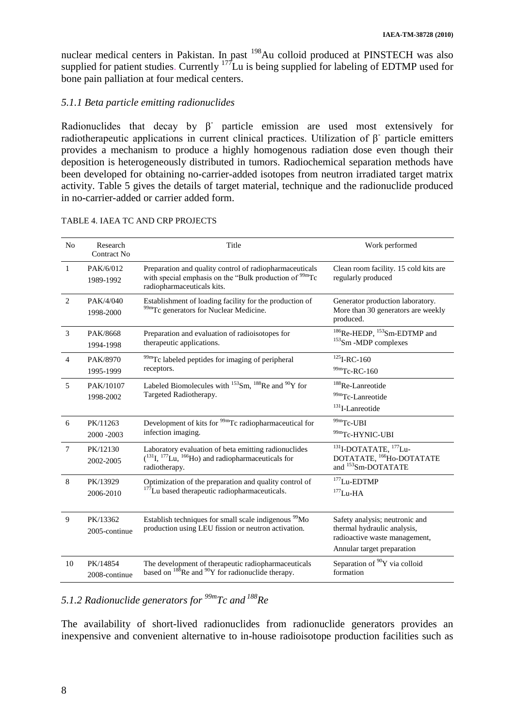nuclear medical centers in Pakistan. In past <sup>198</sup>Au colloid produced at PINSTECH was also supplied for patient studies. Currently <sup>177</sup>Lu is being supplied for labeling of EDTMP used for bone pain palliation at four medical centers.

## *5.1.1 Beta particle emitting radionuclides*

Radionuclides that decay by  $\beta$  particle emission are used most extensively for radiotherapeutic applications in current clinical practices. Utilization of  $β$  particle emitters provides a mechanism to produce a highly homogenous radiation dose even though their deposition is heterogeneously distributed in tumors. Radiochemical separation methods have been developed for obtaining no-carrier-added isotopes from neutron irradiated target matrix activity. Table 5 gives the details of target material, technique and the radionuclide produced in no-carrier-added or carrier added form.

| N <sub>o</sub>  | Research<br><b>Contract No</b> | Title                                                                                                                                                       | Work performed                                                                                                               |
|-----------------|--------------------------------|-------------------------------------------------------------------------------------------------------------------------------------------------------------|------------------------------------------------------------------------------------------------------------------------------|
| 1               | PAK/6/012<br>1989-1992         | Preparation and quality control of radiopharmaceuticals<br>with special emphasis on the "Bulk production of <sup>99m</sup> Tc<br>radiopharmaceuticals kits. | Clean room facility. 15 cold kits are<br>regularly produced                                                                  |
| 2               | PAK/4/040<br>1998-2000         | Establishment of loading facility for the production of<br><sup>99m</sup> Tc generators for Nuclear Medicine.                                               | Generator production laboratory.<br>More than 30 generators are weekly<br>produced.                                          |
| 3               | PAK/8668<br>1994-1998          | Preparation and evaluation of radioisotopes for<br>therapeutic applications.                                                                                | <sup>186</sup> Re-HEDP, <sup>153</sup> Sm-EDTMP and<br>$153$ Sm -MDP complexes                                               |
| $\overline{4}$  | PAK/8970<br>1995-1999          | <sup>99m</sup> Tc labeled peptides for imaging of peripheral<br>receptors.                                                                                  | $^{125}$ I-RC-160<br>$99m$ Tc-RC-160                                                                                         |
| 5               | PAK/10107<br>1998-2002         | Labeled Biomolecules with $^{153}$ Sm, $^{188}$ Re and $^{90}$ Y for<br>Targeted Radiotherapy.                                                              | <sup>188</sup> Re-Lanreotide<br><sup>99m</sup> Tc-Lanreotide<br>$131$ I-Lanreotide                                           |
| 6               | PK/11263<br>2000 - 2003        | Development of kits for <sup>99m</sup> Tc radiopharmaceutical for<br>infection imaging.                                                                     | $99m$ Tc-UBI<br>99mTc-HYNIC-UBI                                                                                              |
| $7\phantom{.0}$ | PK/12130<br>2002-2005          | Laboratory evaluation of beta emitting radionuclides<br>$(^{131}I, ^{177}Li, ^{166}Ho)$ and radiopharmaceuticals for<br>radiotherapy.                       | $^{131}$ I-DOTATATE, $^{177}$ Lu-<br>DOTATATE, <sup>166</sup> Ho-DOTATATE<br>and <sup>153</sup> Sm-DOTATATE                  |
| 8               | PK/13929<br>2006-2010          | Optimization of the preparation and quality control of<br><sup>177</sup> Lu based therapeutic radiopharmaceuticals.                                         | $177$ Lu-EDTMP<br>$177$ Lu-HA                                                                                                |
| $\overline{9}$  | PK/13362<br>2005-continue      | Establish techniques for small scale indigenous <sup>99</sup> Mo<br>production using LEU fission or neutron activation.                                     | Safety analysis; neutronic and<br>thermal hydraulic analysis,<br>radioactive waste management,<br>Annular target preparation |
| 10              | PK/14854<br>2008-continue      | The development of therapeutic radiopharmaceuticals<br>based on $^{188}$ Re and $^{90}$ Y for radionuclide therapy.                                         | Separation of <sup>90</sup> Y via colloid<br>formation                                                                       |

#### TABLE 4. IAEA TC AND CRP PROJECTS

## *5.1.2 Radionuclide generators for 99mTc and <sup>188</sup>Re*

The availability of short-lived radionuclides from radionuclide generators provides an inexpensive and convenient alternative to in-house radioisotope production facilities such as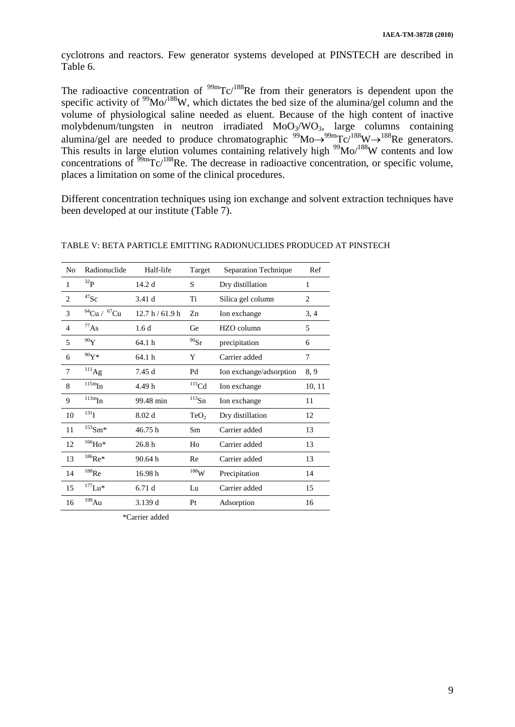cyclotrons and reactors. Few generator systems developed at PINSTECH are described in Table 6.

The radioactive concentration of  $\frac{99m}{C}$  $C/188$ Re from their generators is dependent upon the specific activity of <sup>99</sup>Mo/<sup>188</sup>W, which dictates the bed size of the alumina/gel column and the volume of physiological saline needed as eluent. Because of the high content of inactive molybdenum/tungsten in neutron irradiated  $MoO<sub>3</sub>/WO<sub>3</sub>$ , large columns containing alumina/gel are needed to produce chromatographic  $\frac{99}{90}$ Mo $\rightarrow$ <sup>99m</sup>Tc/<sup>188</sup>W $\rightarrow$ <sup>188</sup>Re generators. This results in large elution volumes containing relatively high <sup>99</sup>Mo/<sup>188</sup>W contents and low concentrations of  $\frac{99 \text{m}}{2}$ Tc/<sup>188</sup>Re. The decrease in radioactive concentration, or specific volume, places a limitation on some of the clinical procedures.

Different concentration techniques using ion exchange and solvent extraction techniques have been developed at our institute (Table 7).

| No             | Radionuclide               | Half-life         | Target              | Separation Technique    | Ref            |
|----------------|----------------------------|-------------------|---------------------|-------------------------|----------------|
| $\mathbf{1}$   | $^{32}P$                   | 14.2d             | S                   | Dry distillation        | 1              |
| $\overline{2}$ | $^{47}$ Sc                 | 3.41 d            | Ti                  | Silica gel column       | $\overline{2}$ |
| 3              | ${}^{64}Cu$ / ${}^{67}Cu$  | 12.7 h/61.9 h     | Zn                  | Ion exchange            | 3, 4           |
| $\overline{4}$ | $^{77}$ As                 | 1.6d              | Ge                  | HZO column              | 5              |
| 5              | $^{90}\mathrm{Y}$          | 64.1 h            | $^{90}\mathrm{Sr}$  | precipitation           | 6              |
| 6              | $90Y*$                     | 64.1 h            | Y                   | Carrier added           | 7              |
| $\overline{7}$ | $^{111}\mathrm{Ag}$        | 7.45 d            | Pd                  | Ion exchange/adsorption | 8,9            |
| 8              | $\overline{\rm ^{115m}In}$ | 4.49 h            | $\mathrm{^{115}Cd}$ | Ion exchange            | 10, 11         |
| 9              | $\rm ^{113m}In$            | 99.48 min         | $^{113}{\rm Sn}$    | Ion exchange            | 11             |
| 10             | $^{131}$ U                 | 8.02 <sub>d</sub> | TeO <sub>2</sub>    | Dry distillation        | 12             |
| 11             | $^{153}\mathrm{Sm^{*}}$    | 46.75h            | Sm                  | Carrier added           | 13             |
| 12             | $^{166}\mathrm{Ho^*}$      | 26.8h             | Ho                  | Carrier added           | 13             |
| 13             | $^{186}\text{Re}$ *        | 90.64h            | Re                  | Carrier added           | 13             |
| 14             | $^{188}\mathrm{Re}$        | 16.98h            | $^{188}\!\rm{W}$    | Precipitation           | 14             |
| 15             | $^{177}$ Lu*               | 6.71d             | Lu                  | Carrier added           | 15             |
| 16             | $^{199}\mathrm{Au}$        | 3.139d            | Pt                  | Adsorption              | 16             |

TABLE V: BETA PARTICLE EMITTING RADIONUCLIDES PRODUCED AT PINSTECH

\*Carrier added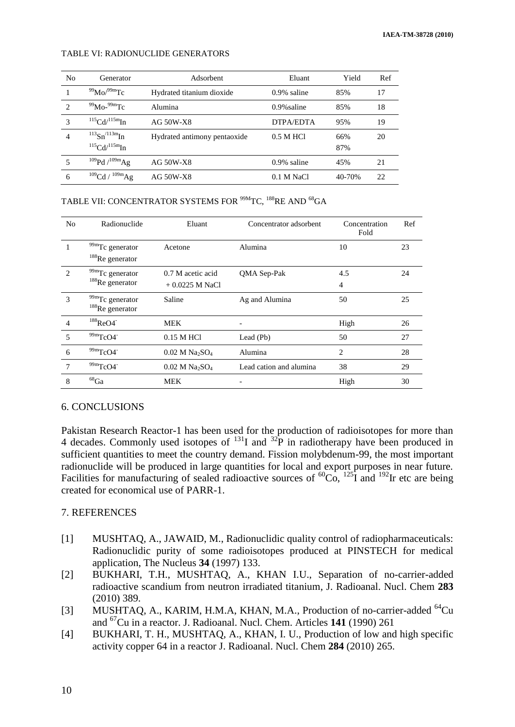#### TABLE VI: RADIONUCLIDE GENERATORS

| No | Generator                                                 | Adsorbent                    | Eluant         | Yield      | Ref |
|----|-----------------------------------------------------------|------------------------------|----------------|------------|-----|
|    | $^{99}$ Mo $/^{99}$ mTc                                   | Hydrated titanium dioxide    | $0.9\%$ saline | 85%        | 17  |
| 2  | $\rm^{99}Mo^{-99m}Te$                                     | Alumina                      | $0.9\%$ saline | 85%        | 18  |
| 3  | $115 \text{Cd} / 115 \text{m}$ In                         | AG 50W-X8                    | DTPA/EDTA      | 95%        | 19  |
| 4  | $^{113}Sn^{/113m}In$<br>$115 \text{Cd} / 115 \text{m}$ In | Hydrated antimony pentaoxide | $0.5$ M HCl    | 66%<br>87% | 20  |
| 5  | 109Pd / 109mAg                                            | AG 50W-X8                    | $0.9\%$ saline | 45%        | 21  |
| 6  | $109$ Cd / $109$ m $Ag$                                   | AG 50W-X8                    | $0.1$ M NaCl   | 40-70%     | 22  |

TABLE VII: CONCENTRATOR SYSTEMS FOR <sup>99M</sup>TC, <sup>188</sup>RE AND <sup>68</sup>GA

| N <sub>0</sub>              | Radionuclide                                      | Eluant                                   | Concentrator adsorbent  | Concentration<br>Fold | Ref |
|-----------------------------|---------------------------------------------------|------------------------------------------|-------------------------|-----------------------|-----|
|                             | <sup>99m</sup> Tc generator<br>$188$ Re generator | Acetone                                  | Alumina                 | 10                    | 23  |
| $\mathcal{D}_{\mathcal{L}}$ | 99mTc generator<br>$188$ Re generator             | 0.7 M acetic acid<br>$+0.0225$ M NaCl    | QMA Sep-Pak             | 4.5<br>4              | 24  |
| 3                           | 99mTc generator<br>$188$ Re generator             | Saline                                   | Ag and Alumina          | 50                    | 25  |
| $\overline{4}$              | $188$ $\mathrm{ReO4}^{-1}$                        | <b>MEK</b>                               |                         | High                  | 26  |
| 5                           | $99m$ TcO4                                        | 0.15 M HCl                               | Lead (Pb)               | 50                    | 27  |
| 6                           | $99m$ TcO4                                        | $0.02$ M Na <sub>2</sub> SO <sub>4</sub> | Alumina                 | $\overline{c}$        | 28  |
| 7                           | $99m$ TcO4                                        | $0.02$ M Na <sub>2</sub> SO <sub>4</sub> | Lead cation and alumina | 38                    | 29  |
| 8                           | $^{68}\mathrm{Ga}$                                | <b>MEK</b>                               |                         | High                  | 30  |

## 6. CONCLUSIONS

Pakistan Research Reactor-1 has been used for the production of radioisotopes for more than 4 decades. Commonly used isotopes of <sup>131</sup>I and <sup>32</sup>P in radiotherapy have been produced in sufficient quantities to meet the country demand. Fission molybdenum-99, the most important radionuclide will be produced in large quantities for local and export purposes in near future. Facilities for manufacturing of sealed radioactive sources of  ${}^{60}Co$ ,  ${}^{125}I$  and  ${}^{192}Ir$  etc are being created for economical use of PARR-1.

#### 7. REFERENCES

- [1] MUSHTAQ, A., JAWAID, M., Radionuclidic quality control of radiopharmaceuticals: Radionuclidic purity of some radioisotopes produced at PINSTECH for medical application, The Nucleus **34** (1997) 133.
- [2] BUKHARI, T.H., MUSHTAQ, A., KHAN I.U., Separation of no-carrier-added radioactive scandium from neutron irradiated titanium, J. Radioanal. Nucl. Chem **283** (2010) 389.
- [3] MUSHTAQ, A., KARIM, H.M.A, KHAN, M.A., Production of no-carrier-added <sup>64</sup>Cu and <sup>67</sup>Cu in a reactor. J. Radioanal. Nucl. Chem. Articles **141** (1990) 261
- [4] BUKHARI, T. H., MUSHTAQ, A., KHAN, I. U., Production of low and high specific activity copper 64 in a reactor J. Radioanal. Nucl. Chem **284** (2010) 265.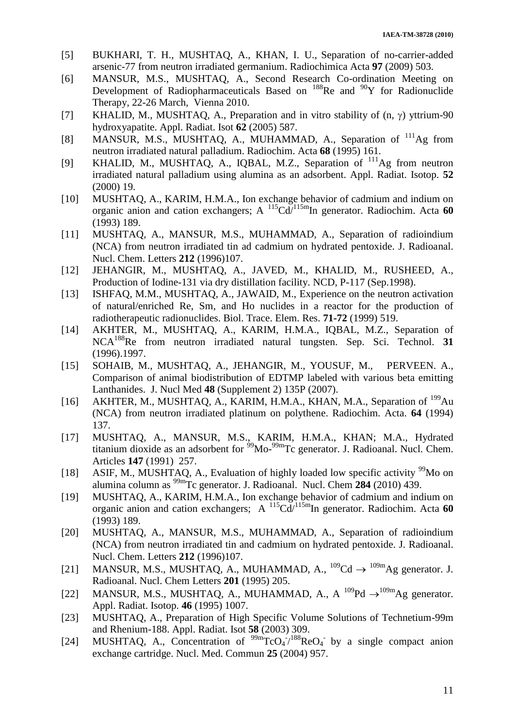- [5] BUKHARI, T. H., MUSHTAQ, A., KHAN, I. U., Separation of no-carrier-added arsenic-77 from neutron irradiated germanium. Radiochimica Acta **97** (2009) 503.
- [6] MANSUR, M.S., MUSHTAQ, A., Second Research Co-ordination Meeting on Development of Radiopharmaceuticals Based on <sup>188</sup>Re and <sup>90</sup>Y for Radionuclide Therapy, 22-26 March, Vienna 2010.
- [7] KHALID, M., MUSHTAQ, A., Preparation and in vitro stability of  $(n, \gamma)$  yttrium-90 hydroxyapatite. Appl. Radiat. Isot **62** (2005) 587.
- [8] MANSUR, M.S., MUSHTAQ, A., MUHAMMAD, A., Separation of <sup>111</sup>Ag from neutron irradiated natural palladium. Radiochim. Acta **68** (1995) 161.
- [9] KHALID, M., MUSHTAQ, A., IQBAL, M.Z., Separation of <sup>111</sup>Ag from neutron irradiated natural palladium using alumina as an adsorbent. Appl. Radiat. Isotop. **52** (2000) 19.
- [10] MUSHTAQ, A., KARIM, H.M.A., Ion exchange behavior of cadmium and indium on organic anion and cation exchangers; A <sup>115</sup>Cd/115mIn generator. Radiochim. Acta **60** (1993) 189.
- [11] MUSHTAQ, A., MANSUR, M.S., MUHAMMAD, A., Separation of radioindium (NCA) from neutron irradiated tin ad cadmium on hydrated pentoxide. J. Radioanal. Nucl. Chem. Letters **212** (1996)107.
- [12] JEHANGIR, M., MUSHTAQ, A., JAVED, M., KHALID, M., RUSHEED, A., Production of Iodine-131 via dry distillation facility. NCD, P-117 (Sep.1998).
- [13] ISHFAQ, M.M., MUSHTAQ, A., JAWAID, M., Experience on the neutron activation of natural/enriched Re, Sm, and Ho nuclides in a reactor for the production of radiotherapeutic radionuclides. Biol. Trace. Elem. Res. **71-72** (1999) 519.
- [14] AKHTER, M., MUSHTAQ, A., KARIM, H.M.A., IQBAL, M.Z., Separation of NCA<sup>188</sup>Re from neutron irradiated natural tungsten. Sep. Sci. Technol. **31** (1996).1997.
- [15] SOHAIB, M., MUSHTAQ, A., JEHANGIR, M., YOUSUF, M., PERVEEN. A., Comparison of animal biodistribution of EDTMP labeled with various beta emitting Lanthanides. J. Nucl Med **48** (Supplement 2) 135P (2007).
- [16] AKHTER, M., MUSHTAQ, A., KARIM, H.M.A., KHAN, M.A., Separation of <sup>199</sup>Au (NCA) from neutron irradiated platinum on polythene. Radiochim. Acta. **64** (1994) 137.
- [17] MUSHTAQ, A., MANSUR, M.S., KARIM, H.M.A., KHAN; M.A., Hydrated titanium dioxide as an adsorbent for  $\frac{99}{9}$ Mo- $\frac{99}{9}$ Tc generator. J. Radioanal. Nucl. Chem. Articles **147** (1991) 257.
- [18] ASIF, M., MUSHTAQ, A., Evaluation of highly loaded low specific activity <sup>99</sup>Mo on alumina column as 99mTc generator. J. Radioanal. Nucl. Chem **284** (2010) 439.
- [19] MUSHTAQ, A., KARIM, H.M.A., Ion exchange behavior of cadmium and indium on organic anion and cation exchangers; A <sup>115</sup>Cd/115mIn generator. Radiochim. Acta **60** (1993) 189.
- [20] MUSHTAQ, A., MANSUR, M.S., MUHAMMAD, A., Separation of radioindium (NCA) from neutron irradiated tin and cadmium on hydrated pentoxide. J. Radioanal. Nucl. Chem. Letters **212** (1996)107.
- [21] MANSUR, M.S., MUSHTAQ, A., MUHAMMAD, A.,  $^{109}Cd \rightarrow$   $^{109}MAg$  generator. J. Radioanal. Nucl. Chem Letters **201** (1995) 205.
- [22] MANSUR, M.S., MUSHTAQ, A., MUHAMMAD, A., A  $^{109}Pd \rightarrow ^{109m}Ag$  generator. Appl. Radiat. Isotop. **46** (1995) 1007.
- [23] MUSHTAQ, A., Preparation of High Specific Volume Solutions of Technetium-99m and Rhenium-188. Appl. Radiat. Isot **58** (2003) 309.
- [24] MUSHTAQ, A., Concentration of  $\frac{99 \text{ m}}{\text{TCO}_4}$  /  $\frac{188 \text{ReO}_4}{\text{NeO}_4}$  by a single compact anion exchange cartridge. Nucl. Med. Commun **25** (2004) 957.